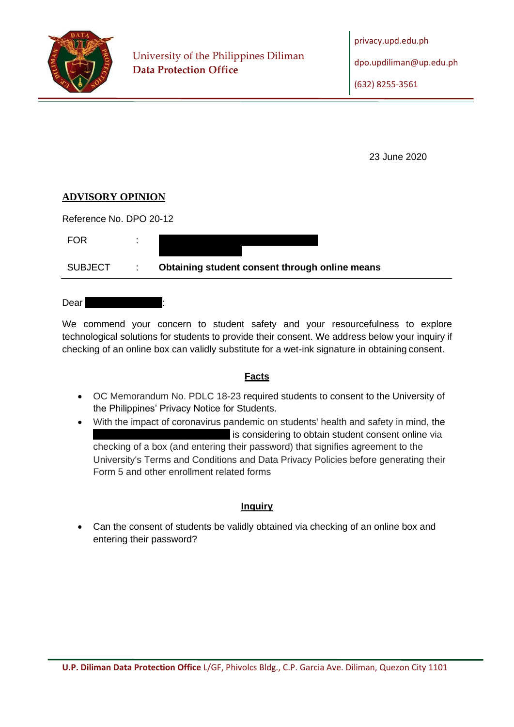

23 June 2020

#### **ADVISORY OPINION**

Reference No. DPO 20-12

| FOR     |                                 |                                                |
|---------|---------------------------------|------------------------------------------------|
| SUBJECT | $\mathcal{L}$ and $\mathcal{L}$ | Obtaining student consent through online means |

Dear |

We commend your concern to student safety and your resourcefulness to explore technological solutions for students to provide their consent. We address below your inquiry if checking of an online box can validly substitute for a wet-ink signature in obtaining consent.

#### **Facts**

- OC Memorandum No. PDLC 18-23 required students to consent to the University of the Philippines' Privacy Notice for Students.
- With the impact of coronavirus pandemic on students' health and safety in mind, the is considering to obtain student consent online via checking of a box (and entering their password) that signifies agreement to the University's Terms and Conditions and Data Privacy Policies before generating their Form 5 and other enrollment related forms

#### **Inquiry**

• Can the consent of students be validly obtained via checking of an online box and entering their password?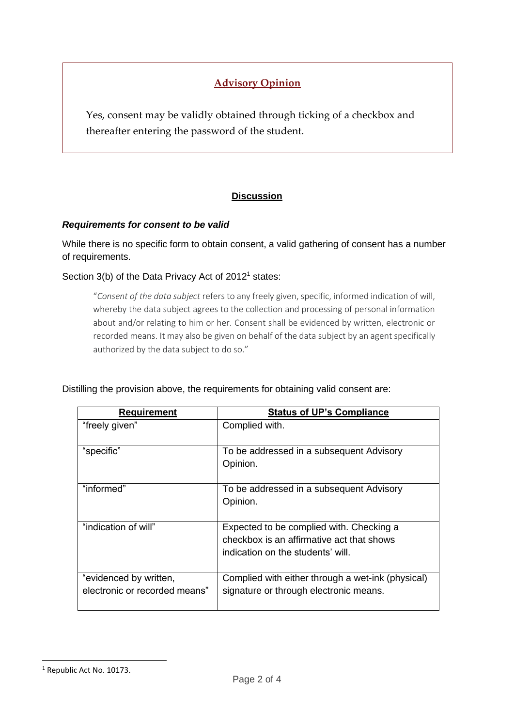# **Advisory Opinion**

Yes, consent may be validly obtained through ticking of a checkbox and thereafter entering the password of the student.

## **Discussion**

#### *Requirements for consent to be valid*

While there is no specific form to obtain consent, a valid gathering of consent has a number of requirements.

Section 3(b) of the Data Privacy Act of 2012<sup>1</sup> states:

"*Consent of the data subject* refers to any freely given,specific, informed indication of will, whereby the data subject agrees to the collection and processing of personal information about and/or relating to him or her. Consent shall be evidenced by written, electronic or recorded means. It may also be given on behalf of the data subject by an agent specifically authorized by the data subject to do so."

| <b>Requirement</b>                                      | <b>Status of UP's Compliance</b>                                                                                           |
|---------------------------------------------------------|----------------------------------------------------------------------------------------------------------------------------|
| "freely given"                                          | Complied with.                                                                                                             |
| "specific"                                              | To be addressed in a subsequent Advisory<br>Opinion.                                                                       |
| "informed"                                              | To be addressed in a subsequent Advisory<br>Opinion.                                                                       |
| "indication of will"                                    | Expected to be complied with. Checking a<br>checkbox is an affirmative act that shows<br>indication on the students' will. |
| "evidenced by written,<br>electronic or recorded means" | Complied with either through a wet-ink (physical)<br>signature or through electronic means.                                |

#### Distilling the provision above, the requirements for obtaining valid consent are:

<sup>&</sup>lt;sup>1</sup> Republic Act No. 10173.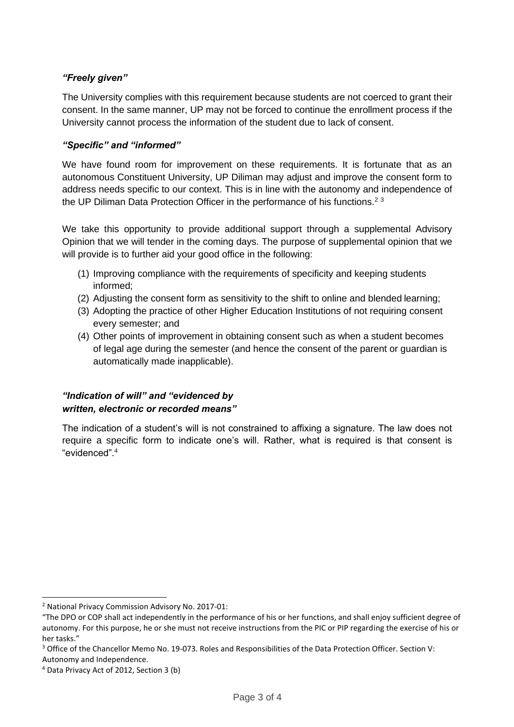### *"Freely given"*

The University complies with this requirement because students are not coerced to grant their consent. In the same manner, UP may not be forced to continue the enrollment process if the University cannot process the information of the student due to lack of consent.

#### *"Specific" and "informed"*

We have found room for improvement on these requirements. It is fortunate that as an autonomous Constituent University, UP Diliman may adjust and improve the consent form to address needs specific to our context. This is in line with the autonomy and independence of the UP Diliman Data Protection Officer in the performance of his functions.<sup>23</sup>

We take this opportunity to provide additional support through a supplemental Advisory Opinion that we will tender in the coming days. The purpose of supplemental opinion that we will provide is to further aid your good office in the following:

- (1) Improving compliance with the requirements of specificity and keeping students informed;
- (2) Adjusting the consent form as sensitivity to the shift to online and blended learning;
- (3) Adopting the practice of other Higher Education Institutions of not requiring consent every semester; and
- (4) Other points of improvement in obtaining consent such as when a student becomes of legal age during the semester (and hence the consent of the parent or guardian is automatically made inapplicable).

#### *"Indication of will" and "evidenced by written, electronic or recorded means"*

The indication of a student's will is not constrained to affixing a signature. The law does not require a specific form to indicate one's will. Rather, what is required is that consent is "evidenced".<sup>4</sup>

<sup>2</sup> National Privacy Commission Advisory No. 2017-01:

<sup>&</sup>quot;The DPO or COP shall act independently in the performance of his or her functions, and shall enjoy sufficient degree of autonomy. For this purpose, he or she must not receive instructions from the PIC or PIP regarding the exercise of his or her tasks."

<sup>&</sup>lt;sup>3</sup> Office of the Chancellor Memo No. 19-073. Roles and Responsibilities of the Data Protection Officer. Section V: Autonomy and Independence.

<sup>4</sup> Data Privacy Act of 2012, Section 3 (b)